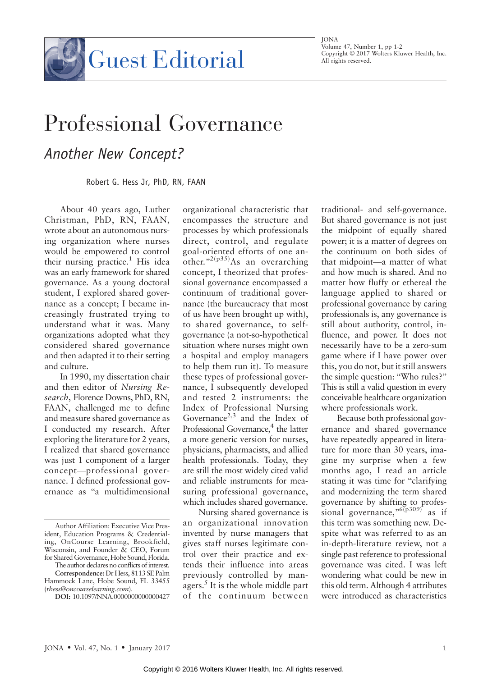

**JONA** Volume 47, Number 1, pp 1-2 Copyright  $\odot$  2017 Wolters Kluwer Health, Inc. All rights reserved.

## Professional Governance

## Another New Concept?

Robert G. Hess Jr, PhD, RN, FAAN

About 40 years ago, Luther Christman, PhD, RN, FAAN, wrote about an autonomous nursing organization where nurses would be empowered to control their nursing practice.<sup>1</sup> His idea was an early framework for shared governance. As a young doctoral student, I explored shared governance as a concept; I became increasingly frustrated trying to understand what it was. Many organizations adopted what they considered shared governance and then adapted it to their setting and culture.

In 1990, my dissertation chair and then editor of Nursing Research, Florence Downs, PhD, RN, FAAN, challenged me to define and measure shared governance as I conducted my research. After exploring the literature for 2 years, I realized that shared governance was just 1 component of a larger concept-professional governance. I defined professional governance as "a multidimensional organizational characteristic that encompasses the structure and processes by which professionals direct, control, and regulate goal-oriented efforts of one another."<sup>2(p35)</sup>As an overarching concept, I theorized that professional governance encompassed a continuum of traditional governance (the bureaucracy that most of us have been brought up with), to shared governance, to selfgovernance (a not-so-hypothetical situation where nurses might own a hospital and employ managers to help them run it). To measure these types of professional governance, I subsequently developed and tested 2 instruments: the Index of Professional Nursing Governance<sup>2,3</sup> and the Index of Professional Governance,<sup>4</sup> the latter a more generic version for nurses, physicians, pharmacists, and allied health professionals. Today, they are still the most widely cited valid and reliable instruments for measuring professional governance, which includes shared governance.

Nursing shared governance is an organizational innovation invented by nurse managers that gives staff nurses legitimate control over their practice and extends their influence into areas previously controlled by managers. $<sup>5</sup>$  It is the whole middle part</sup> of the continuum between

traditional- and self-governance. But shared governance is not just the midpoint of equally shared power; it is a matter of degrees on the continuum on both sides of that midpoint-a matter of what and how much is shared. And no matter how fluffy or ethereal the language applied to shared or professional governance by caring professionals is, any governance is still about authority, control, influence, and power. It does not necessarily have to be a zero-sum game where if I have power over this, you do not, but it still answers the simple question: "Who rules?" This is still a valid question in every conceivable healthcare organization where professionals work.

Because both professional governance and shared governance have repeatedly appeared in literature for more than 30 years, imagine my surprise when a few months ago, I read an article stating it was time for "clarifying and modernizing the term shared governance by shifting to professional governance," $6(p309)$  as if this term was something new. Despite what was referred to as an in-depth-literature review, not a single past reference to professional governance was cited. I was left wondering what could be new in this old term. Although 4 attributes were introduced as characteristics

Author Affiliation: Executive Vice President, Education Programs & Credentialing, OnCourse Learning, Brookfield, Wisconsin, and Founder & CEO, Forum for Shared Governance, Hobe Sound, Florida. The author declares no conflicts of interest.

Correspondence: Dr Hess, 8113 SE Palm Hammock Lane, Hobe Sound, FL 33455 ([rhess@oncourselearning.com](mailto:rhess@oncourselearning.com)).

DOI: 10.1097/NNA.0000000000000427